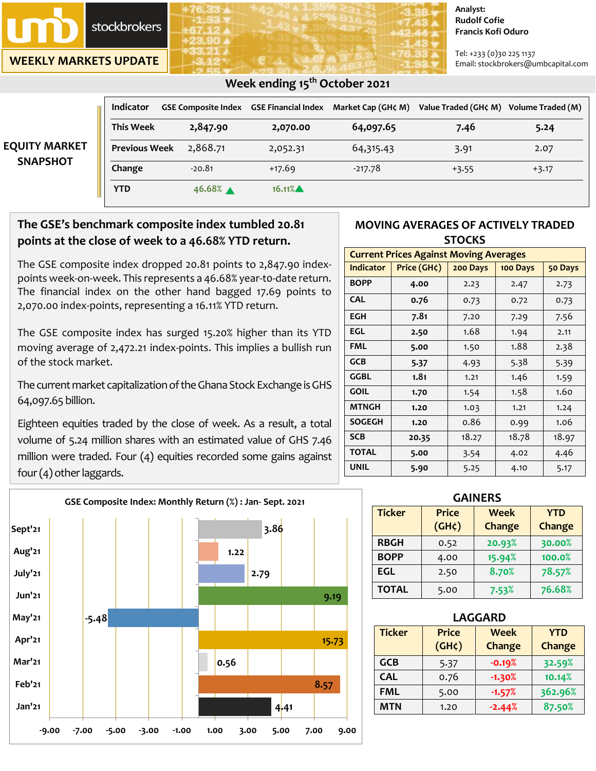

**WEEKLY MARKETS UPDATE**

#### **Analyst: Rudolf Cofie Francis Kofi Oduro**

Tel: +233 (0)30 225 1137 Email: stockbrokers@umbcapital.com

| <b>EQUITY MARKET</b><br><b>SNAPSHOT</b> | <b>Indicator</b>     |          | GSE Composite Index   GSE Financial Index | Market Cap (GH¢ M) | Value Traded (GH¢ M) | Volume Traded (M) |
|-----------------------------------------|----------------------|----------|-------------------------------------------|--------------------|----------------------|-------------------|
|                                         | <b>This Week</b>     | 2,847.90 | 2,070.00                                  | 64,097.65          | 7.46                 | 5.24              |
|                                         | <b>Previous Week</b> | 2,868.71 | 2,052.31                                  | 64,315.43          | 3.91                 | 2.07              |
|                                         | Change               | $-20.81$ | $+17.69$                                  | $-217.78$          | $+3.55$              | $+3.17$           |
|                                         | <b>YTD</b>           | 46.68% ▲ | 16.11%                                    |                    |                      |                   |

# **The GSE's benchmark composite index tumbled 20.81 points at the close of week to a 46.68% YTD return.**

The GSE composite index dropped 20.81 points to 2,847.90 indexpoints week-on-week. This represents a 46.68% year-t0-date return. The financial index on the other hand bagged 17.69 points to 2,070.00 index-points, representing a 16.11% YTD return.

The GSE composite index has surged 15.20% higher than its YTD moving average of 2,472.21 index-points. This implies a bullish run of the stock market.

The current market capitalization of the Ghana Stock Exchange is GHS 64,097.65 billion.

Eighteen equities traded by the close of week. As a result, a total volume of 5.24 million shares with an estimated value of GHS 7.46 million were traded. Four (4) equities recorded some gains against four (4) other laggards.



### **MOVING AVERAGES OF ACTIVELY TRADED STOCKS**

| <b>Current Prices Against Moving Averages</b> |             |          |          |         |  |
|-----------------------------------------------|-------------|----------|----------|---------|--|
| <b>Indicator</b>                              | Price (GH¢) | 200 Days | 100 Days | 50 Days |  |
| <b>BOPP</b>                                   | 4.00        | 2.23     | 2.47     | 2.73    |  |
| <b>CAL</b>                                    | 0.76        | 0.73     | 0.72     | 0.73    |  |
| <b>EGH</b>                                    | 7.81        | 7.20     | 7.29     | 7.56    |  |
| EGL                                           | 2.50        | 1.68     | 1.94     | 2.11    |  |
| <b>FML</b>                                    | 5.00        | 1.50     | 1.88     | 2.38    |  |
| GCB                                           | 5.37        | 4.93     | 5.38     | 5.39    |  |
| GGBL                                          | 1.81        | 1.21     | 1.46     | 1.59    |  |
| <b>GOIL</b>                                   | 1.70        | 1.54     | 1.58     | 1.60    |  |
| <b>MTNGH</b>                                  | 1.20        | 1.03     | 1.21     | 1.24    |  |
| <b>SOGEGH</b>                                 | 1.20        | 0.86     | 0.99     | 1.06    |  |
| <b>SCB</b>                                    | 20.35       | 18.27    | 18.78    | 18.97   |  |
| <b>TOTAL</b>                                  | 5.00        | 3.54     | 4.02     | 4.46    |  |
| <b>UNIL</b>                                   | 5.90        | 5.25     | 4.10     | 5.17    |  |

| <b>GAINERS</b> |                             |                              |                             |  |  |
|----------------|-----------------------------|------------------------------|-----------------------------|--|--|
| <b>Ticker</b>  | <b>Price</b><br>$(GH\zeta)$ | <b>Week</b><br><b>Change</b> | <b>YTD</b><br><b>Change</b> |  |  |
| <b>RBGH</b>    | 0.52                        | 20.93%                       | 30.00%                      |  |  |
| <b>BOPP</b>    | 4.00                        | 15.94%                       | 100.0%                      |  |  |
| <b>EGL</b>     | 2.50                        | 8.70%                        | 78.57%                      |  |  |
| <b>TOTAL</b>   | 5.00                        | 7.53%                        | 76.68%                      |  |  |

|                     |       | <b>LAGGARD</b> |                             |                       |                      |  |
|---------------------|-------|----------------|-----------------------------|-----------------------|----------------------|--|
|                     | 15.73 | <b>Ticker</b>  | <b>Price</b><br>$(GH\zeta)$ | <b>Week</b><br>Change | <b>YTD</b><br>Change |  |
|                     |       | <b>GCB</b>     | 5.37                        | $-0.19%$              | 32.59%               |  |
|                     |       | <b>CAL</b>     | 0.76                        | $-1.30%$              | 10.14%               |  |
| 8.57                |       | <b>FML</b>     | 5.00                        | $-1.57%$              | 362.96%              |  |
| 4 <mark>.</mark> 41 |       | <b>MTN</b>     | 1.20                        | $-2.44%$              | 87.50%               |  |

# **Week ending 15th October 2021**